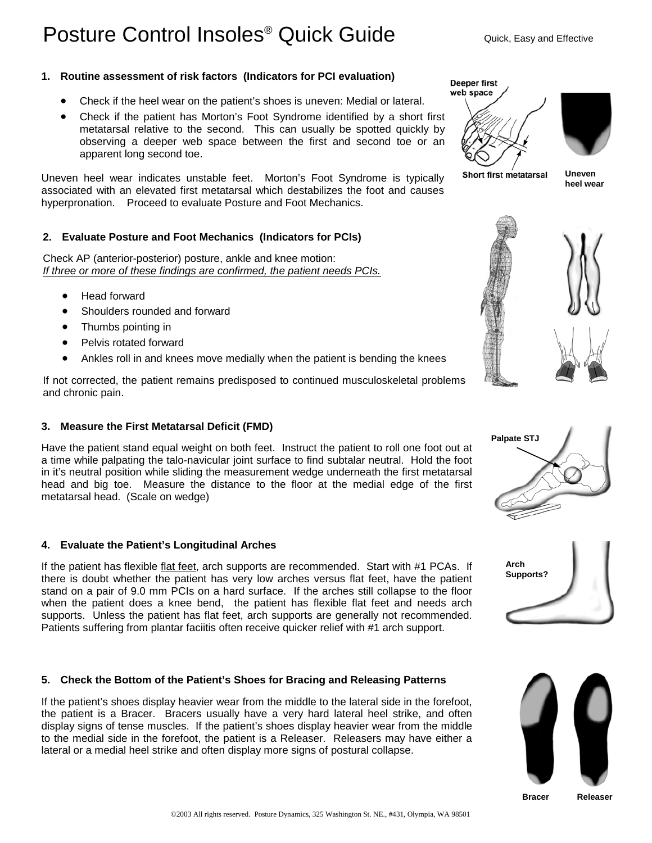# Posture Control Insoles<sup>®</sup> Quick Guide Quick, Easy and Effective

# **1. Routine assessment of risk factors (Indicators for PCI evaluation)**

- Check if the heel wear on the patient's shoes is uneven: Medial or lateral.
- Check if the patient has Morton's Foot Syndrome identified by a short first metatarsal relative to the second. This can usually be spotted quickly by observing a deeper web space between the first and second toe or an apparent long second toe.

Uneven heel wear indicates unstable feet. Morton's Foot Syndrome is typically associated with an elevated first metatarsal which destabilizes the foot and causes hyperpronation. Proceed to evaluate Posture and Foot Mechanics.

# **2. Evaluate Posture and Foot Mechanics (Indicators for PCIs)**

Check AP (anterior-posterior) posture, ankle and knee motion: *If three or more of these findings are confirmed, the patient needs PCIs.*

- Head forward
- Shoulders rounded and forward
- Thumbs pointing in
- Pelvis rotated forward
- Ankles roll in and knees move medially when the patient is bending the knees

If not corrected, the patient remains predisposed to continued musculoskeletal problems and chronic pain.

# **3. Measure the First Metatarsal Deficit (FMD)**

Have the patient stand equal weight on both feet. Instruct the patient to roll one foot out at a time while palpating the talo-navicular joint surface to find subtalar neutral. Hold the foot in it's neutral position while sliding the measurement wedge underneath the first metatarsal head and big toe. Measure the distance to the floor at the medial edge of the first metatarsal head. (Scale on wedge)

# **4. Evaluate the Patient's Longitudinal Arches**

If the patient has flexible flat feet, arch supports are recommended. Start with #1 PCAs. If there is doubt whether the patient has very low arches versus flat feet, have the patient stand on a pair of 9.0 mm PCIs on a hard surface. If the arches still collapse to the floor when the patient does a knee bend, the patient has flexible flat feet and needs arch supports. Unless the patient has flat feet, arch supports are generally not recommended. Patients suffering from plantar faciitis often receive quicker relief with #1 arch support.

# **5. Check the Bottom of the Patient's Shoes for Bracing and Releasing Patterns**

If the patient's shoes display heavier wear from the middle to the lateral side in the forefoot, the patient is a Bracer. Bracers usually have a very hard lateral heel strike, and often display signs of tense muscles. If the patient's shoes display heavier wear from the middle to the medial side in the forefoot, the patient is a Releaser. Releasers may have either a lateral or a medial heel strike and often display more signs of postural collapse.





**Short first metatarsal** 

**Uneven heel wear** 









**Bracer Releaser**